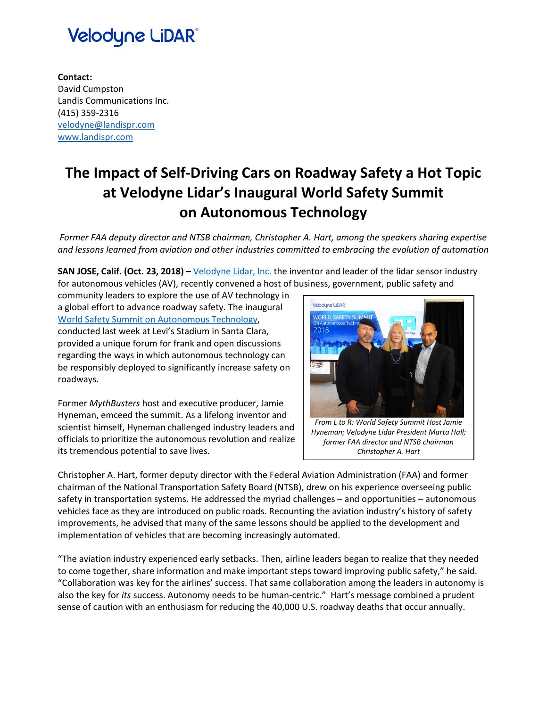# **Velodyne LiDAR®**

**Contact:** David Cumpston Landis Communications Inc. (415) 359-2316 [velodyne@landispr.com](mailto:velodyne@landispr.com) [www.landispr.com](http://www.landispr.com/)

### **The Impact of Self-Driving Cars on Roadway Safety a Hot Topic at Velodyne Lidar's Inaugural World Safety Summit on Autonomous Technology**

*Former FAA deputy director and NTSB chairman, Christopher A. Hart, among the speakers sharing expertise and lessons learned from aviation and other industries committed to embracing the evolution of automation*

**SAN JOSE, Calif. (Oct. 23, 2018) –** [Velodyne Lidar, Inc.](http://velodynelidar.com/) the inventor and leader of the lidar sensor industry for autonomous vehicles (AV), recently convened a host of business, government, public safety and

community leaders to explore the use of AV technology in a global effort to advance roadway safety. The inaugural World Safety Summit on [Autonomous Technology,](https://velodynelidar.com/safety-summit.html) conducted last week at Levi's Stadium in Santa Clara, provided a unique forum for frank and open discussions regarding the ways in which autonomous technology can be responsibly deployed to significantly increase safety on roadways.

Former *MythBusters* host and executive producer, Jamie Hyneman, emceed the summit. As a lifelong inventor and scientist himself, Hyneman challenged industry leaders and officials to prioritize the autonomous revolution and realize its tremendous potential to save lives.



*From L to R: World Safety Summit Host Jamie Hyneman; Velodyne Lidar President Marta Hall; former FAA director and NTSB chairman Christopher A. Hart*

Christopher A. Hart, former deputy director with the Federal Aviation Administration (FAA) and former chairman of the National Transportation Safety Board (NTSB), drew on his experience overseeing public safety in transportation systems. He addressed the myriad challenges – and opportunities – autonomous vehicles face as they are introduced on public roads. Recounting the aviation industry's history of safety improvements, he advised that many of the same lessons should be applied to the development and implementation of vehicles that are becoming increasingly automated.

"The aviation industry experienced early setbacks. Then, airline leaders began to realize that they needed to come together, share information and make important steps toward improving public safety," he said. "Collaboration was key for the airlines' success. That same collaboration among the leaders in autonomy is also the key for *its* success. Autonomy needs to be human-centric." Hart's message combined a prudent sense of caution with an enthusiasm for reducing the 40,000 U.S. roadway deaths that occur annually.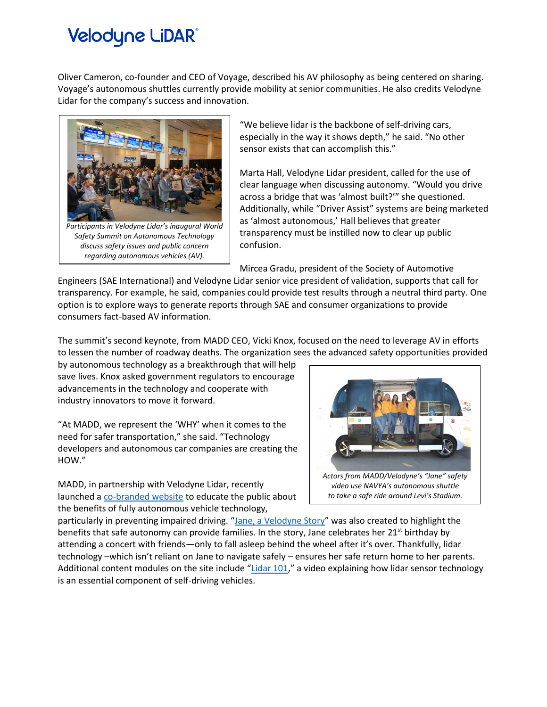# **Velodyne LiDAR®**

Oliver Cameron, co-founder and CEO of Voyage, described his AV philosophy as being centered on sharing. Voyage's autonomous shuttles currently provide mobility at senior communities. He also credits Velodyne Lidar for the company's success and innovation.



*Safety Summit on Autonomous Technology discuss safety issues and public concern regarding autonomous vehicles (AV).*

"We believe lidar is the backbone of self-driving cars, especially in the way it shows depth," he said. "No other sensor exists that can accomplish this."

Marta Hall, Velodyne Lidar president, called for the use of clear language when discussing autonomy. "Would you drive across a bridge that was 'almost built?'" she questioned. Additionally, while "Driver Assist" systems are being marketed as 'almost autonomous,' Hall believes that greater transparency must be instilled now to clear up public confusion.

Mircea Gradu, president of the Society of Automotive

Engineers (SAE International) and Velodyne Lidar senior vice president of validation, supports that call for transparency. For example, he said, companies could provide test results through a neutral third party. One option is to explore ways to generate reports through SAE and consumer organizations to provide consumers fact-based AV information.

The summit's second keynote, from MADD CEO, Vicki Knox, focused on the need to leverage AV in efforts to lessen the number of roadway deaths. The organization sees the advanced safety opportunities provided

by autonomous technology as a breakthrough that will help save lives. Knox asked government regulators to encourage advancements in the technology and cooperate with industry innovators to move it forward.

"At MADD, we represent the 'WHY' when it comes to the need for safer transportation," she said. "Technology developers and autonomous car companies are creating the HOW."

MADD, in partnership with Velodyne Lidar, recently launched a [co-branded website](https://velodynelidar.com/madd-partnership.html) to educate the public about the benefits of fully autonomous vehicle technology,



particularly in preventing impaired driving. "[Jane, a Velodyne Story](https://www.youtube.com/watch?v=kGOylbkiVz)" was also created to highlight the benefits that safe autonomy can provide families. In the story, Jane celebrates her 21<sup>st</sup> birthday by attending a concert with friends—only to fall asleep behind the wheel after it's over. Thankfully, lidar technology –which isn't reliant on Jane to navigate safely – ensures her safe return home to her parents. Additional content modules on the site include "[Lidar](https://www.youtube.com/watch?v=NZKvf1cXe8s&feature=youtu.be) 101," a video explaining how lidar sensor technology is an essential component of self-driving vehicles.